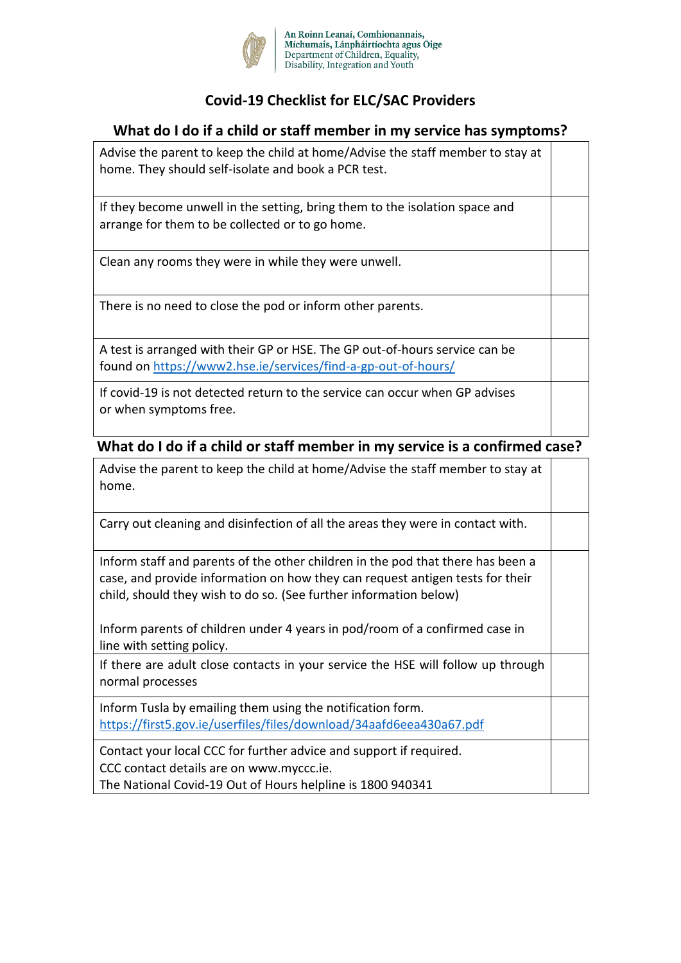

# **Covid-19 Checklist for ELC/SAC Providers**

### **What do I do if a child or staff member in my service has symptoms?**

| Advise the parent to keep the child at home/Advise the staff member to stay at<br>home. They should self-isolate and book a PCR test.        |  |
|----------------------------------------------------------------------------------------------------------------------------------------------|--|
| If they become unwell in the setting, bring them to the isolation space and<br>arrange for them to be collected or to go home.               |  |
| Clean any rooms they were in while they were unwell.                                                                                         |  |
| There is no need to close the pod or inform other parents.                                                                                   |  |
| A test is arranged with their GP or HSE. The GP out-of-hours service can be<br>found on https://www2.hse.ie/services/find-a-gp-out-of-hours/ |  |
| If covid-19 is not detected return to the service can occur when GP advises<br>or when symptoms free.                                        |  |

### **What do I do if a child or staff member in my service is a confirmed case?**

| Advise the parent to keep the child at home/Advise the staff member to stay at |  |
|--------------------------------------------------------------------------------|--|
| home.                                                                          |  |

Carry out cleaning and disinfection of all the areas they were in contact with.

| Inform staff and parents of the other children in the pod that there has been a |
|---------------------------------------------------------------------------------|
| case, and provide information on how they can request antigen tests for their   |
| child, should they wish to do so. (See further information below)               |

Inform parents of children under 4 years in pod/room of a confirmed case in line with setting policy.

If there are adult close contacts in your service the HSE will follow up through normal processes

Inform Tusla by emailing them using the notification form. <https://first5.gov.ie/userfiles/files/download/34aafd6eea430a67.pdf>

Contact your local CCC for further advice and support if required. CCC contact details are on www.myccc.ie.

The National Covid-19 Out of Hours helpline is 1800 940341